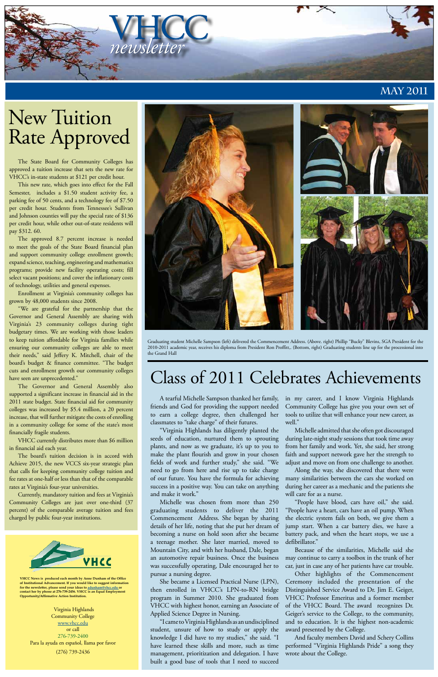

**VHCC News is produced each month by Anne Dunham of the Office of Institutional Advancement. If you would like to suggest information for the newsletter, please send your ideas to adunham@vhcc.edu or contact her by phone at 276-739-2456. VHCC is an Equal Employment Opportunity/Affirmative Action Institution.**

Virginia Highlands Community College www.vhcc.edu or call 276-739-2400 Para la ayuda en español, llama por favor (276) 739-2436

## **May 2011**

# Class of 2011 Celebrates Achievements

The State Board for Community Colleges has approved a tuition increase that sets the new rate for VHCC's in-state students at \$121 per credit hour.

This new rate, which goes into effect for the Fall Semester, includes a \$1.50 student activity fee, a parking fee of 50 cents, and a technology fee of \$7.50 per credit hour. Students from Tennessee's Sullivan and Johnson counties will pay the special rate of \$136 per credit hour, while other out-of-state residents will pay \$312. 60.

The approved 8.7 percent increase is needed to meet the goals of the State Board financial plan and support community college enrollment growth; expand science, teaching, engineering and mathematics programs; provide new facility operating costs; fill select vacant positions; and cover the inflationary costs of technology, utilities and general expenses.

Enrollment at Virginia's community colleges has grown by 48,000 students since 2008.

"We are grateful for the partnership that the Governor and General Assembly are sharing with Virginia's 23 community colleges during tight budgetary times. We are working with those leaders to keep tuition affordable for Virginia families while ensuring our community colleges are able to meet their needs," said Jeffery K. Mitchell, chair of the board's budget & finance committee. "The budget cuts and enrollment growth our community colleges have seen are unprecedented."

The Governor and General Assembly also supported a significant increase in financial aid in the 2011 state budget. State financial aid for community colleges was increased by \$5.4 million, a 20 percent increase, that will further mitigate the costs of enrolling in a community college for some of the state's most financially fragile students.

VHCC currently distributes more than \$6 million in financial aid each year.

The board's tuition decision is in accord with Achieve 2015, the new VCCS six-year strategic plan that calls for keeping community college tuition and fee rates at one-half or less than that of the comparable rates at Virginia's four-year universities.

Currently, mandatory tuition and fees at Virginia's

Community Colleges are just over one-third (37 percent) of the comparable average tuition and fees charged by public four-year institutions.



# New Tuition Rate Approved



Graduating student Michelle Sampson (left) delivered the Commencement Address. (Above. right) Phillip "Bucky" Blevins, SGA President for the 2010-2011 academic year, receives his diploma from President Ron Proffitt,. (Bottom, right) Graduating students line up for the processional into the Grand Hall

A tearful Michelle Sampson thanked her family, friends and God for providing the support needed to earn a college degree, then challenged her classmates to "take charge" of their futures.

"Virginia Highlands has diligently planted the seeds of education, nurtured them to sprouting plants, and now as we graduate, it's up to you to make the plant flourish and grow in your chosen fields of work and further study," she said. "We need to go from here and rise up to take charge of our future. You have the formula for achieving success in a positive way. You can take on anything and make it work."

Michelle was chosen from more than 250 graduating students to deliver the 2011 Commencement Address. She began by sharing details of her life, noting that she put her dream of becoming a nurse on hold soon after she became a teenage mother. She later married, moved to Mountain City, and with her husband, Dale, began an automotive repair business. Once the business was successfully operating, Dale encouraged her to pursue a nursing degree.

She became a Licensed Practical Nurse (LPN), then enrolled in VHCC's LPN-to-RN bridge program in Summer 2010. She graduated from VHCC with highest honor, earning an Associate of Applied Science Degree in Nursing.

"I came to Virginia Highlands as an undisciplined student, unsure of how to study or apply the knowledge I did have to my studies," she said. "I have learned these skills and more, such as time management, prioritization and delegation. I have built a good base of tools that I need to succeed

in my career, and I know Virginia Highlands Community College has give you your own set of tools to utilize that will enhance your new career, as well."

Michelle admitted that she often got discouraged during late-night study sessions that took time away from her family and work. Yet, she said, her strong faith and support network gave her the strength to adjust and move on from one challenge to another.

Along the way, she discovered that there were many similarities between the cars she worked on during her career as a mechanic and the patients she will care for as a nurse.

"People have blood, cars have oil," she said. "People have a heart, cars have an oil pump. When the electric system fails on both, we give them a jump start. When a car battery dies, we have a battery pack, and when the heart stops, we use a defibrillator."

Because of the similarities, Michelle said she may continue to carry a toolbox in the trunk of her car, just in case any of her patients have car trouble.

Other highlights of the Commencement Ceremony included the presentation of the Distinguished Service Award to Dr. Jim E. Geiger, VHCC Professor Emeritus and a former member of the VHCC Board. The award recognizes Dr. Geiger's service to the College, to the community, and to education. It is the highest non-academic award presented by the College.

And faculty members David and Schery Collins performed "Virginia Highlands Pride" a song they wrote about the College.